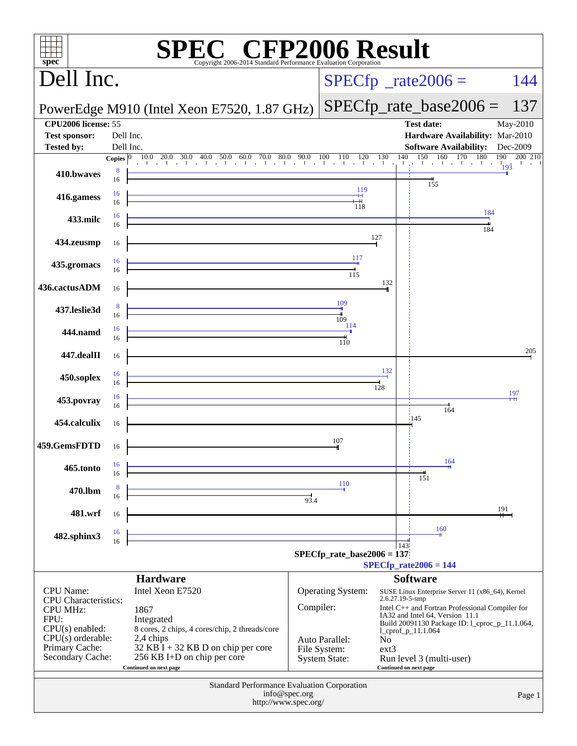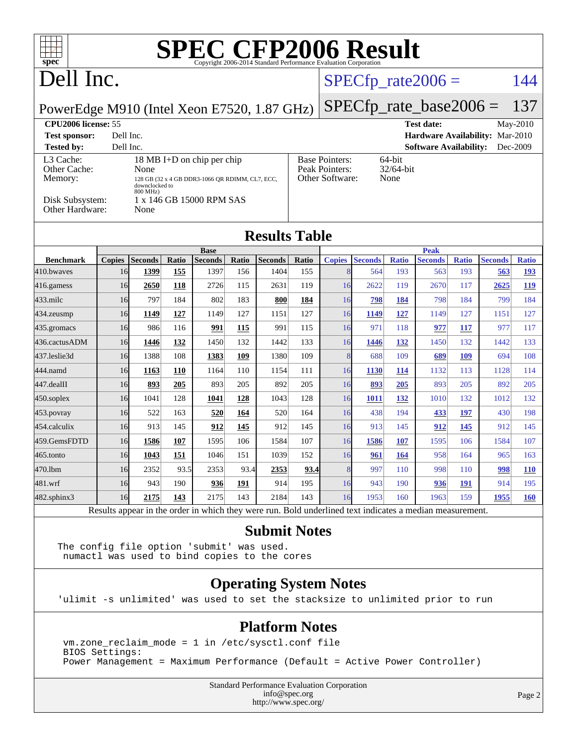| $\uparrow$ $\uparrow$ $\uparrow$<br>spec <sup>®</sup>                                                                                                                      |               |                |            |                        |       |                |       | <b>SPEC CFP2006 Result</b>                                                                                     |                |              |                               |              |                |              |
|----------------------------------------------------------------------------------------------------------------------------------------------------------------------------|---------------|----------------|------------|------------------------|-------|----------------|-------|----------------------------------------------------------------------------------------------------------------|----------------|--------------|-------------------------------|--------------|----------------|--------------|
| Dell Inc.                                                                                                                                                                  |               |                |            |                        |       |                |       |                                                                                                                |                |              | $SPECfp\_rate2006 =$          |              |                | 144          |
| $SPECfp\_rate\_base2006 =$<br>137<br>PowerEdge M910 (Intel Xeon E7520, 1.87 GHz)                                                                                           |               |                |            |                        |       |                |       |                                                                                                                |                |              |                               |              |                |              |
| CPU2006 license: 55<br><b>Test date:</b><br>May-2010                                                                                                                       |               |                |            |                        |       |                |       |                                                                                                                |                |              |                               |              |                |              |
| Dell Inc.<br><b>Test sponsor:</b><br>Hardware Availability: Mar-2010<br>Dec-2009                                                                                           |               |                |            |                        |       |                |       |                                                                                                                |                |              |                               |              |                |              |
| <b>Software Availability:</b><br><b>Tested by:</b><br>Dell Inc.<br>L3 Cache:<br>18 MB I+D on chip per chip<br><b>Base Pointers:</b><br>64-bit                              |               |                |            |                        |       |                |       |                                                                                                                |                |              |                               |              |                |              |
| Other Cache:<br>None                                                                                                                                                       |               |                |            |                        |       |                |       | Peak Pointers:<br>32/64-bit                                                                                    |                |              |                               |              |                |              |
| Memory:<br>128 GB (32 x 4 GB DDR3-1066 QR RDIMM, CL7, ECC,<br>downclocked to                                                                                               |               |                |            |                        |       |                |       | Other Software:<br>None                                                                                        |                |              |                               |              |                |              |
| 800 MHz)<br>1 x 146 GB 15000 RPM SAS<br>Disk Subsystem:<br>Other Hardware:<br>None                                                                                         |               |                |            |                        |       |                |       |                                                                                                                |                |              |                               |              |                |              |
| <b>Results Table</b>                                                                                                                                                       |               |                |            |                        |       |                |       |                                                                                                                |                |              |                               |              |                |              |
| <b>Benchmark</b>                                                                                                                                                           | <b>Copies</b> | <b>Seconds</b> | Ratio      | <b>Base</b><br>Seconds | Ratio | <b>Seconds</b> | Ratio | <b>Copies</b>                                                                                                  | <b>Seconds</b> | <b>Ratio</b> | <b>Peak</b><br><b>Seconds</b> | <b>Ratio</b> | <b>Seconds</b> | <b>Ratio</b> |
| 410.bwayes                                                                                                                                                                 | 16            | 1399           | 155        | 1397                   | 156   | 1404           | 155   | 8                                                                                                              | 564            | 193          | 563                           | 193          | 563            | 193          |
| 416.gamess                                                                                                                                                                 | 16            | 2650           | 118        | 2726                   | 115   | 2631           | 119   | 16                                                                                                             | 2622           | 119          | 2670                          | 117          | 2625           | 119          |
| 433.milc                                                                                                                                                                   | 16            | 797            | 184        | 802                    | 183   | 800            | 184   | 16                                                                                                             | 798            | 184          | 798                           | 184          | 799            | 184          |
| 434.zeusmp                                                                                                                                                                 | 16            | 1149           | 127        | 1149                   | 127   | 1151           | 127   | 16                                                                                                             | 1149           | <u>127</u>   | 1149                          | 127          | 1151           | 127          |
| 435.gromacs                                                                                                                                                                | 16            | 986            | 116        | 991                    | 115   | 991            | 115   | 16                                                                                                             | 971            | 118          | 977                           | 117          | 977            | 117          |
| 436.cactusADM                                                                                                                                                              | 16            | 1446           | 132        | 1450                   | 132   | 1442           | 133   | 16                                                                                                             | 1446           | <u>132</u>   | 1450                          | 132          | 1442           | 133          |
| 437.leslie3d                                                                                                                                                               | 16            | 1388           | 108        | 1383                   | 109   | 1380           | 109   | 8                                                                                                              | 688            | 109          | 689                           | 109          | 694            | 108          |
| 444.namd                                                                                                                                                                   | 16            | 1163           | 110        | 1164                   | 110   | 1154           | 111   | 16                                                                                                             | 1130           | 114          | 1132                          | 113          | 1128           | 114          |
| 447.dealII                                                                                                                                                                 | 16            | 893            | 205        | 893                    | 205   | 892            | 205   | 16                                                                                                             | 893            | 205          | 893                           | 205          | 892            | 205          |
| $450$ .soplex                                                                                                                                                              | 16            | 1041           | 128        | 1041                   | 128   | 1043           | 128   | 16                                                                                                             | 1011           | <u>132</u>   | 1010                          | 132          | 1012           | 132          |
| $453$ . povray                                                                                                                                                             | 16            | 522            | 163        | 520                    | 164   | 520            | 164   | 16                                                                                                             | 438            | 194          | 433                           | 197          | 430            | 198          |
| 454.calculix                                                                                                                                                               | 16            | 913            | 145        | 912                    | 145   | 912            | 145   | 16                                                                                                             | 913            | 145          | 912                           | 145          | 912            | 145          |
| 459.GemsFDTD                                                                                                                                                               | 16            | 1586           | 107        | 1595                   | 106   | 1584           | 107   | 16                                                                                                             | 1586           | <b>107</b>   | 1595                          | 106          | 1584           | 107          |
| 465.tonto                                                                                                                                                                  | 16            | 1043           | <u>151</u> | 1046                   | 151   | 1039           | 152   | 16                                                                                                             | 961            | 164          | 958                           | 164          | 965            | 163          |
| 470.1bm                                                                                                                                                                    | 16            | 2352           | 93.5       | 2353                   | 93.4  | 2353           | 93.4  | 8 <sup>l</sup>                                                                                                 | 997            | 110          | 998                           | 110          | 998            | <b>110</b>   |
| 481.wrf                                                                                                                                                                    | 16            | 943            | 190        | 936                    | 191   | 914            | 195   | 16                                                                                                             | 943            | 190          | 936                           | <b>191</b>   | 914            | 195          |
| 482.sphinx3                                                                                                                                                                | 16            | 2175           | 143        | 2175                   | 143   | 2184           | 143   | 16<br>Results appear in the order in which they were run. Bold underlined text indicates a median measurement. | 1953           | 160          | 1963                          | 159          | 1955           | 160          |
| <b>Submit Notes</b><br>The config file option 'submit' was used.<br>numactl was used to bind copies to the cores                                                           |               |                |            |                        |       |                |       |                                                                                                                |                |              |                               |              |                |              |
| <b>Operating System Notes</b><br>'ulimit -s unlimited' was used to set the stacksize to unlimited prior to run                                                             |               |                |            |                        |       |                |       |                                                                                                                |                |              |                               |              |                |              |
| <b>Platform Notes</b><br>vm.zone_reclaim_mode = 1 in /etc/sysctl.conf file<br>BIOS Settings:<br>Power Management = Maximum Performance (Default = Active Power Controller) |               |                |            |                        |       |                |       |                                                                                                                |                |              |                               |              |                |              |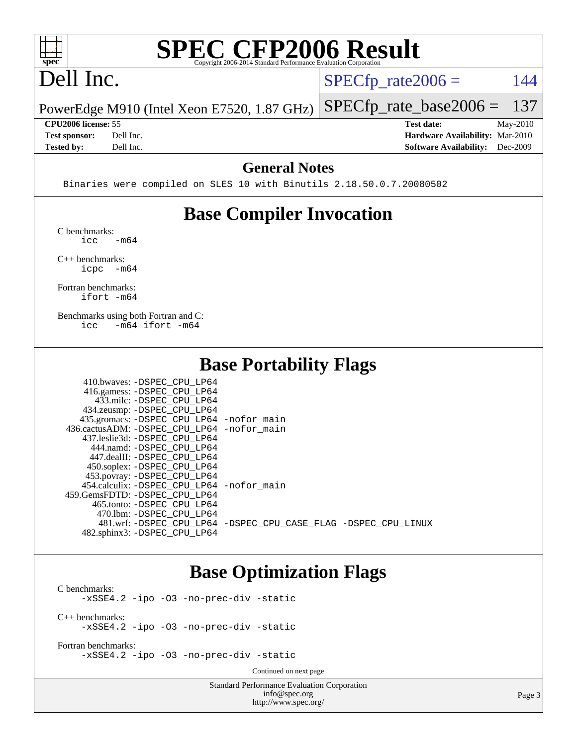

# **[SPEC CFP2006 Result](http://www.spec.org/auto/cpu2006/Docs/result-fields.html#SPECCFP2006Result)**

## Dell Inc.

 $SPECTp_rate2006 = 144$ 

PowerEdge M910 (Intel Xeon E7520, 1.87 GHz) [SPECfp\\_rate\\_base2006 =](http://www.spec.org/auto/cpu2006/Docs/result-fields.html#SPECfpratebase2006) 137

**[CPU2006 license:](http://www.spec.org/auto/cpu2006/Docs/result-fields.html#CPU2006license)** 55 **[Test date:](http://www.spec.org/auto/cpu2006/Docs/result-fields.html#Testdate)** May-2010 **[Test sponsor:](http://www.spec.org/auto/cpu2006/Docs/result-fields.html#Testsponsor)** Dell Inc. **[Hardware Availability:](http://www.spec.org/auto/cpu2006/Docs/result-fields.html#HardwareAvailability)** Mar-2010 **[Tested by:](http://www.spec.org/auto/cpu2006/Docs/result-fields.html#Testedby)** Dell Inc. **[Software Availability:](http://www.spec.org/auto/cpu2006/Docs/result-fields.html#SoftwareAvailability)** Dec-2009

#### **[General Notes](http://www.spec.org/auto/cpu2006/Docs/result-fields.html#GeneralNotes)**

Binaries were compiled on SLES 10 with Binutils 2.18.50.0.7.20080502

## **[Base Compiler Invocation](http://www.spec.org/auto/cpu2006/Docs/result-fields.html#BaseCompilerInvocation)**

[C benchmarks](http://www.spec.org/auto/cpu2006/Docs/result-fields.html#Cbenchmarks):  $\text{icc}$   $-\text{m64}$ 

[C++ benchmarks:](http://www.spec.org/auto/cpu2006/Docs/result-fields.html#CXXbenchmarks) [icpc -m64](http://www.spec.org/cpu2006/results/res2010q3/cpu2006-20100607-11603.flags.html#user_CXXbase_intel_icpc_64bit_bedb90c1146cab66620883ef4f41a67e)

[Fortran benchmarks](http://www.spec.org/auto/cpu2006/Docs/result-fields.html#Fortranbenchmarks): [ifort -m64](http://www.spec.org/cpu2006/results/res2010q3/cpu2006-20100607-11603.flags.html#user_FCbase_intel_ifort_64bit_ee9d0fb25645d0210d97eb0527dcc06e)

[Benchmarks using both Fortran and C](http://www.spec.org/auto/cpu2006/Docs/result-fields.html#BenchmarksusingbothFortranandC): [icc -m64](http://www.spec.org/cpu2006/results/res2010q3/cpu2006-20100607-11603.flags.html#user_CC_FCbase_intel_icc_64bit_0b7121f5ab7cfabee23d88897260401c) [ifort -m64](http://www.spec.org/cpu2006/results/res2010q3/cpu2006-20100607-11603.flags.html#user_CC_FCbase_intel_ifort_64bit_ee9d0fb25645d0210d97eb0527dcc06e)

 $410.1$   $\ldots$  paper cput in

### **[Base Portability Flags](http://www.spec.org/auto/cpu2006/Docs/result-fields.html#BasePortabilityFlags)**

| 410.0Waves: -DSPEC CPU LP64                |                                                                |
|--------------------------------------------|----------------------------------------------------------------|
| 416.gamess: -DSPEC_CPU_LP64                |                                                                |
| 433.milc: -DSPEC CPU LP64                  |                                                                |
| 434.zeusmp: -DSPEC_CPU_LP64                |                                                                |
| 435.gromacs: -DSPEC_CPU_LP64 -nofor_main   |                                                                |
| 436.cactusADM: -DSPEC CPU LP64 -nofor main |                                                                |
| 437.leslie3d: -DSPEC CPU LP64              |                                                                |
| 444.namd: -DSPEC CPU LP64                  |                                                                |
| 447.dealII: -DSPEC CPU LP64                |                                                                |
| 450.soplex: -DSPEC_CPU_LP64                |                                                                |
| 453.povray: -DSPEC_CPU_LP64                |                                                                |
| 454.calculix: -DSPEC CPU LP64 -nofor main  |                                                                |
| 459. GemsFDTD: - DSPEC CPU LP64            |                                                                |
| 465.tonto: -DSPEC CPU LP64                 |                                                                |
| 470.1bm: - DSPEC CPU LP64                  |                                                                |
|                                            | 481.wrf: -DSPEC CPU_LP64 -DSPEC_CPU_CASE_FLAG -DSPEC_CPU_LINUX |
| 482.sphinx3: -DSPEC CPU LP64               |                                                                |
|                                            |                                                                |

## **[Base Optimization Flags](http://www.spec.org/auto/cpu2006/Docs/result-fields.html#BaseOptimizationFlags)**

[C benchmarks](http://www.spec.org/auto/cpu2006/Docs/result-fields.html#Cbenchmarks): [-xSSE4.2](http://www.spec.org/cpu2006/results/res2010q3/cpu2006-20100607-11603.flags.html#user_CCbase_f-xSSE42_f91528193cf0b216347adb8b939d4107) [-ipo](http://www.spec.org/cpu2006/results/res2010q3/cpu2006-20100607-11603.flags.html#user_CCbase_f-ipo) [-O3](http://www.spec.org/cpu2006/results/res2010q3/cpu2006-20100607-11603.flags.html#user_CCbase_f-O3) [-no-prec-div](http://www.spec.org/cpu2006/results/res2010q3/cpu2006-20100607-11603.flags.html#user_CCbase_f-no-prec-div) [-static](http://www.spec.org/cpu2006/results/res2010q3/cpu2006-20100607-11603.flags.html#user_CCbase_f-static) [C++ benchmarks:](http://www.spec.org/auto/cpu2006/Docs/result-fields.html#CXXbenchmarks) [-xSSE4.2](http://www.spec.org/cpu2006/results/res2010q3/cpu2006-20100607-11603.flags.html#user_CXXbase_f-xSSE42_f91528193cf0b216347adb8b939d4107) [-ipo](http://www.spec.org/cpu2006/results/res2010q3/cpu2006-20100607-11603.flags.html#user_CXXbase_f-ipo) [-O3](http://www.spec.org/cpu2006/results/res2010q3/cpu2006-20100607-11603.flags.html#user_CXXbase_f-O3) [-no-prec-div](http://www.spec.org/cpu2006/results/res2010q3/cpu2006-20100607-11603.flags.html#user_CXXbase_f-no-prec-div) [-static](http://www.spec.org/cpu2006/results/res2010q3/cpu2006-20100607-11603.flags.html#user_CXXbase_f-static)

[Fortran benchmarks](http://www.spec.org/auto/cpu2006/Docs/result-fields.html#Fortranbenchmarks): [-xSSE4.2](http://www.spec.org/cpu2006/results/res2010q3/cpu2006-20100607-11603.flags.html#user_FCbase_f-xSSE42_f91528193cf0b216347adb8b939d4107) [-ipo](http://www.spec.org/cpu2006/results/res2010q3/cpu2006-20100607-11603.flags.html#user_FCbase_f-ipo) [-O3](http://www.spec.org/cpu2006/results/res2010q3/cpu2006-20100607-11603.flags.html#user_FCbase_f-O3) [-no-prec-div](http://www.spec.org/cpu2006/results/res2010q3/cpu2006-20100607-11603.flags.html#user_FCbase_f-no-prec-div) [-static](http://www.spec.org/cpu2006/results/res2010q3/cpu2006-20100607-11603.flags.html#user_FCbase_f-static)

Continued on next page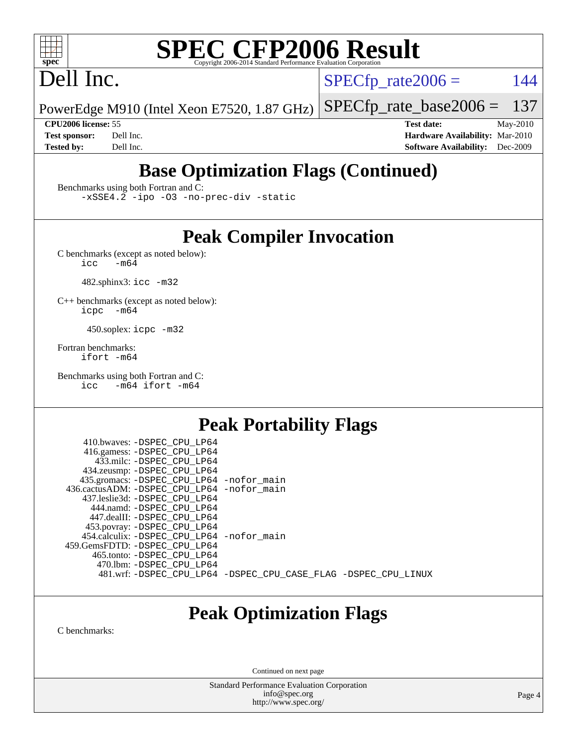

# **[SPEC CFP2006 Result](http://www.spec.org/auto/cpu2006/Docs/result-fields.html#SPECCFP2006Result)**

## Dell Inc.

 $SPECTp\_rate2006 = 144$ 

PowerEdge M910 (Intel Xeon E7520, 1.87 GHz) [SPECfp\\_rate\\_base2006 =](http://www.spec.org/auto/cpu2006/Docs/result-fields.html#SPECfpratebase2006) 137

**[CPU2006 license:](http://www.spec.org/auto/cpu2006/Docs/result-fields.html#CPU2006license)** 55 **[Test date:](http://www.spec.org/auto/cpu2006/Docs/result-fields.html#Testdate)** May-2010 **[Test sponsor:](http://www.spec.org/auto/cpu2006/Docs/result-fields.html#Testsponsor)** Dell Inc. **[Hardware Availability:](http://www.spec.org/auto/cpu2006/Docs/result-fields.html#HardwareAvailability)** Mar-2010 **[Tested by:](http://www.spec.org/auto/cpu2006/Docs/result-fields.html#Testedby)** Dell Inc. **[Software Availability:](http://www.spec.org/auto/cpu2006/Docs/result-fields.html#SoftwareAvailability)** Dec-2009

## **[Base Optimization Flags \(Continued\)](http://www.spec.org/auto/cpu2006/Docs/result-fields.html#BaseOptimizationFlags)**

[Benchmarks using both Fortran and C](http://www.spec.org/auto/cpu2006/Docs/result-fields.html#BenchmarksusingbothFortranandC):

[-xSSE4.2](http://www.spec.org/cpu2006/results/res2010q3/cpu2006-20100607-11603.flags.html#user_CC_FCbase_f-xSSE42_f91528193cf0b216347adb8b939d4107) [-ipo](http://www.spec.org/cpu2006/results/res2010q3/cpu2006-20100607-11603.flags.html#user_CC_FCbase_f-ipo) [-O3](http://www.spec.org/cpu2006/results/res2010q3/cpu2006-20100607-11603.flags.html#user_CC_FCbase_f-O3) [-no-prec-div](http://www.spec.org/cpu2006/results/res2010q3/cpu2006-20100607-11603.flags.html#user_CC_FCbase_f-no-prec-div) [-static](http://www.spec.org/cpu2006/results/res2010q3/cpu2006-20100607-11603.flags.html#user_CC_FCbase_f-static)

## **[Peak Compiler Invocation](http://www.spec.org/auto/cpu2006/Docs/result-fields.html#PeakCompilerInvocation)**

[C benchmarks \(except as noted below\)](http://www.spec.org/auto/cpu2006/Docs/result-fields.html#Cbenchmarksexceptasnotedbelow):<br> $\frac{1}{\text{CC}}$  -m64  $-m64$ 

482.sphinx3: [icc -m32](http://www.spec.org/cpu2006/results/res2010q3/cpu2006-20100607-11603.flags.html#user_peakCCLD482_sphinx3_intel_icc_32bit_a6a621f8d50482236b970c6ac5f55f93)

[C++ benchmarks \(except as noted below\):](http://www.spec.org/auto/cpu2006/Docs/result-fields.html#CXXbenchmarksexceptasnotedbelow) [icpc -m64](http://www.spec.org/cpu2006/results/res2010q3/cpu2006-20100607-11603.flags.html#user_CXXpeak_intel_icpc_64bit_bedb90c1146cab66620883ef4f41a67e)

450.soplex: [icpc -m32](http://www.spec.org/cpu2006/results/res2010q3/cpu2006-20100607-11603.flags.html#user_peakCXXLD450_soplex_intel_icpc_32bit_4e5a5ef1a53fd332b3c49e69c3330699)

[Fortran benchmarks](http://www.spec.org/auto/cpu2006/Docs/result-fields.html#Fortranbenchmarks): [ifort -m64](http://www.spec.org/cpu2006/results/res2010q3/cpu2006-20100607-11603.flags.html#user_FCpeak_intel_ifort_64bit_ee9d0fb25645d0210d97eb0527dcc06e)

[Benchmarks using both Fortran and C](http://www.spec.org/auto/cpu2006/Docs/result-fields.html#BenchmarksusingbothFortranandC): [icc -m64](http://www.spec.org/cpu2006/results/res2010q3/cpu2006-20100607-11603.flags.html#user_CC_FCpeak_intel_icc_64bit_0b7121f5ab7cfabee23d88897260401c) [ifort -m64](http://www.spec.org/cpu2006/results/res2010q3/cpu2006-20100607-11603.flags.html#user_CC_FCpeak_intel_ifort_64bit_ee9d0fb25645d0210d97eb0527dcc06e)

## **[Peak Portability Flags](http://www.spec.org/auto/cpu2006/Docs/result-fields.html#PeakPortabilityFlags)**

 410.bwaves: [-DSPEC\\_CPU\\_LP64](http://www.spec.org/cpu2006/results/res2010q3/cpu2006-20100607-11603.flags.html#suite_peakPORTABILITY410_bwaves_DSPEC_CPU_LP64) 416.gamess: [-DSPEC\\_CPU\\_LP64](http://www.spec.org/cpu2006/results/res2010q3/cpu2006-20100607-11603.flags.html#suite_peakPORTABILITY416_gamess_DSPEC_CPU_LP64) 433.milc: [-DSPEC\\_CPU\\_LP64](http://www.spec.org/cpu2006/results/res2010q3/cpu2006-20100607-11603.flags.html#suite_peakPORTABILITY433_milc_DSPEC_CPU_LP64) 434.zeusmp: [-DSPEC\\_CPU\\_LP64](http://www.spec.org/cpu2006/results/res2010q3/cpu2006-20100607-11603.flags.html#suite_peakPORTABILITY434_zeusmp_DSPEC_CPU_LP64) 435.gromacs: [-DSPEC\\_CPU\\_LP64](http://www.spec.org/cpu2006/results/res2010q3/cpu2006-20100607-11603.flags.html#suite_peakPORTABILITY435_gromacs_DSPEC_CPU_LP64) [-nofor\\_main](http://www.spec.org/cpu2006/results/res2010q3/cpu2006-20100607-11603.flags.html#user_peakLDPORTABILITY435_gromacs_f-nofor_main) 436.cactusADM: [-DSPEC\\_CPU\\_LP64](http://www.spec.org/cpu2006/results/res2010q3/cpu2006-20100607-11603.flags.html#suite_peakPORTABILITY436_cactusADM_DSPEC_CPU_LP64) [-nofor\\_main](http://www.spec.org/cpu2006/results/res2010q3/cpu2006-20100607-11603.flags.html#user_peakLDPORTABILITY436_cactusADM_f-nofor_main) 437.leslie3d: [-DSPEC\\_CPU\\_LP64](http://www.spec.org/cpu2006/results/res2010q3/cpu2006-20100607-11603.flags.html#suite_peakPORTABILITY437_leslie3d_DSPEC_CPU_LP64) 444.namd: [-DSPEC\\_CPU\\_LP64](http://www.spec.org/cpu2006/results/res2010q3/cpu2006-20100607-11603.flags.html#suite_peakPORTABILITY444_namd_DSPEC_CPU_LP64) 447.dealII: [-DSPEC\\_CPU\\_LP64](http://www.spec.org/cpu2006/results/res2010q3/cpu2006-20100607-11603.flags.html#suite_peakPORTABILITY447_dealII_DSPEC_CPU_LP64) 453.povray: [-DSPEC\\_CPU\\_LP64](http://www.spec.org/cpu2006/results/res2010q3/cpu2006-20100607-11603.flags.html#suite_peakPORTABILITY453_povray_DSPEC_CPU_LP64) 454.calculix: [-DSPEC\\_CPU\\_LP64](http://www.spec.org/cpu2006/results/res2010q3/cpu2006-20100607-11603.flags.html#suite_peakPORTABILITY454_calculix_DSPEC_CPU_LP64) [-nofor\\_main](http://www.spec.org/cpu2006/results/res2010q3/cpu2006-20100607-11603.flags.html#user_peakLDPORTABILITY454_calculix_f-nofor_main) 459.GemsFDTD: [-DSPEC\\_CPU\\_LP64](http://www.spec.org/cpu2006/results/res2010q3/cpu2006-20100607-11603.flags.html#suite_peakPORTABILITY459_GemsFDTD_DSPEC_CPU_LP64) 465.tonto: [-DSPEC\\_CPU\\_LP64](http://www.spec.org/cpu2006/results/res2010q3/cpu2006-20100607-11603.flags.html#suite_peakPORTABILITY465_tonto_DSPEC_CPU_LP64) 470.lbm: [-DSPEC\\_CPU\\_LP64](http://www.spec.org/cpu2006/results/res2010q3/cpu2006-20100607-11603.flags.html#suite_peakPORTABILITY470_lbm_DSPEC_CPU_LP64) 481.wrf: [-DSPEC\\_CPU\\_LP64](http://www.spec.org/cpu2006/results/res2010q3/cpu2006-20100607-11603.flags.html#suite_peakPORTABILITY481_wrf_DSPEC_CPU_LP64) [-DSPEC\\_CPU\\_CASE\\_FLAG](http://www.spec.org/cpu2006/results/res2010q3/cpu2006-20100607-11603.flags.html#b481.wrf_peakCPORTABILITY_DSPEC_CPU_CASE_FLAG) [-DSPEC\\_CPU\\_LINUX](http://www.spec.org/cpu2006/results/res2010q3/cpu2006-20100607-11603.flags.html#b481.wrf_peakCPORTABILITY_DSPEC_CPU_LINUX)

## **[Peak Optimization Flags](http://www.spec.org/auto/cpu2006/Docs/result-fields.html#PeakOptimizationFlags)**

[C benchmarks](http://www.spec.org/auto/cpu2006/Docs/result-fields.html#Cbenchmarks):

Continued on next page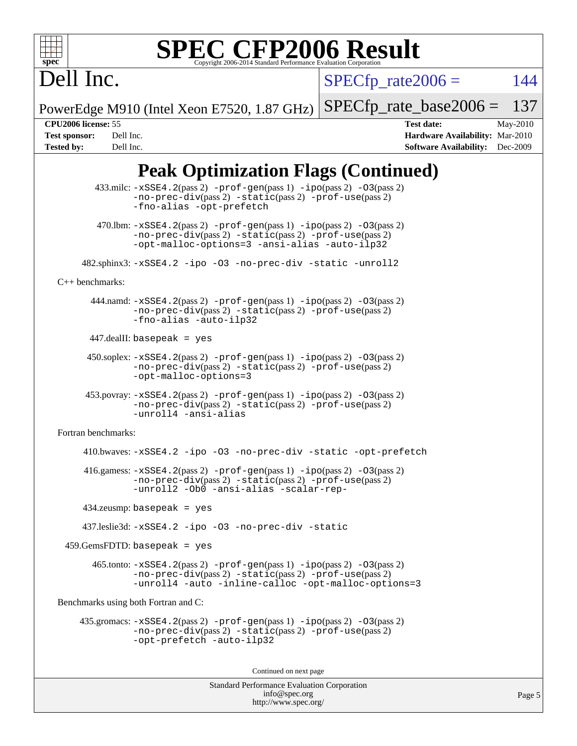

# **[SPEC CFP2006 Result](http://www.spec.org/auto/cpu2006/Docs/result-fields.html#SPECCFP2006Result)**

Dell Inc.

 $SPECTp\_rate2006 = 144$ 

PowerEdge M910 (Intel Xeon E7520, 1.87 GHz) [SPECfp\\_rate\\_base2006 =](http://www.spec.org/auto/cpu2006/Docs/result-fields.html#SPECfpratebase2006) 137

**[CPU2006 license:](http://www.spec.org/auto/cpu2006/Docs/result-fields.html#CPU2006license)** 55 **[Test date:](http://www.spec.org/auto/cpu2006/Docs/result-fields.html#Testdate)** May-2010 **[Test sponsor:](http://www.spec.org/auto/cpu2006/Docs/result-fields.html#Testsponsor)** Dell Inc. **[Hardware Availability:](http://www.spec.org/auto/cpu2006/Docs/result-fields.html#HardwareAvailability)** Mar-2010 **[Tested by:](http://www.spec.org/auto/cpu2006/Docs/result-fields.html#Testedby)** Dell Inc. **[Software Availability:](http://www.spec.org/auto/cpu2006/Docs/result-fields.html#SoftwareAvailability)** Dec-2009

Page 5

## **[Peak Optimization Flags \(Continued\)](http://www.spec.org/auto/cpu2006/Docs/result-fields.html#PeakOptimizationFlags)**

```
433.milc: -xSSE4. 2(pass 2) -prof-gen-ipo-O3(pass 2)-no-prec-div(pass 2) -static(pass 2) -prof-use(pass 2)
               -fno-alias -opt-prefetch
        470.lbm: -xSSE4. 2(pass 2) -prof-gen-ipo-O3(pass 2)-no-prec-div(pass 2) -static(pass 2) -prof-use(pass 2)
               -opt-malloc-options=3 -ansi-alias -auto-ilp32
      482.sphinx3: -xSSE4.2 -ipo -O3 -no-prec-div -static -unroll2
C++ benchmarks: 
      444.namd: -xSSE4. 2(pass 2) -prof-gen-ipo-O3(pass 2)-no-prec-div(pass 2) -static(pass 2) -prof-use(pass 2)
               -fno-alias -auto-ilp32
      447.dealII: basepeak = yes
       450.soplex: -xSSE4.2(pass 2) -prof-gen(pass 1) -ipo(pass 2) -O3(pass 2)
               -no-prec-div(pass 2) -static(pass 2) -prof-use(pass 2)
               -opt-malloc-options=3
      453.povray: -xSSE4.2(pass 2) -prof-gen(pass 1) -ipo(pass 2) -O3(pass 2)
               -no-prec-div(pass 2) -static(pass 2) -prof-use(pass 2)
               -unroll4 -ansi-alias
Fortran benchmarks: 
      410.bwaves: -xSSE4.2 -ipo -O3 -no-prec-div -static -opt-prefetch
      416.gamess: -xSSE4.2(pass 2) -prof-gen(pass 1) -ipo(pass 2) -O3(pass 2)
               -no-prec-div(pass 2) -static(pass 2) -prof-use(pass 2)
               -unroll2 -Ob0 -ansi-alias -scalar-rep-
      434.zeusmp: basepeak = yes
      437.leslie3d: -xSSE4.2 -ipo -O3 -no-prec-div -static
 459.GemsFDTD: basepeak = yes 465.tonto: -xSSE4.2(pass 2) -prof-gen(pass 1) -ipo(pass 2) -O3(pass 2)
               -no-prec-div(pass 2) -static(pass 2) -prof-use(pass 2)
               -unroll4 -auto -inline-calloc -opt-malloc-options=3
Benchmarks using both Fortran and C: 
     435.gromacs: -xSSE4.2(pass 2) -prof-gen(pass 1) -ipo(pass 2) -O3(pass 2)
               -no-prec-div(pass 2) -static(pass 2) -prof-use(pass 2)
               -opt-prefetch -auto-ilp32
                                       Continued on next page
```